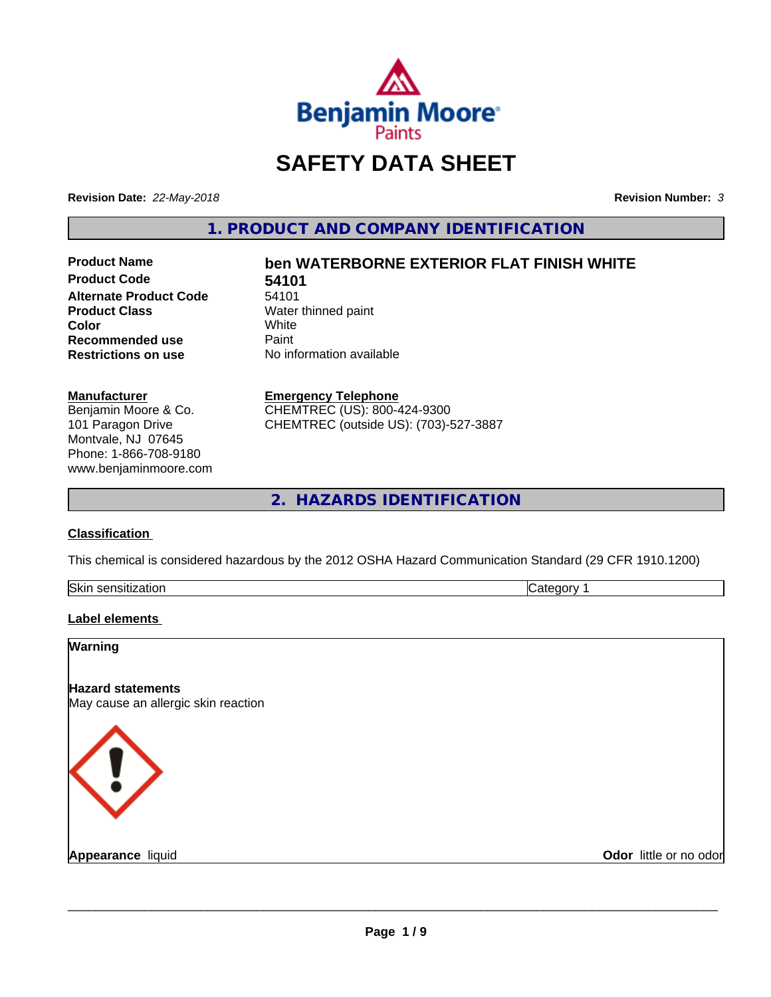

# **SAFETY DATA SHEET**

**Revision Date:** *22-May-2018* **Revision Number:** *3*

**1. PRODUCT AND COMPANY IDENTIFICATION**

**Product Code 54101**<br>Alternate Product Code 54101 **Alternate Product Code**<br>Product Class **Color** White White **Recommended use** Paint<br> **Restrictions on use** No inf

# **Product Name ben WATERBORNE EXTERIOR FLAT FINISH WHITE**

**Water thinned paint**<br>White **Restrictions on use** No information available

#### **Manufacturer**

Benjamin Moore & Co. 101 Paragon Drive Montvale, NJ 07645 Phone: 1-866-708-9180 www.benjaminmoore.com

#### **Emergency Telephone**

CHEMTREC (US): 800-424-9300 CHEMTREC (outside US): (703)-527-3887

**2. HAZARDS IDENTIFICATION**

# **Classification**

This chemical is considered hazardous by the 2012 OSHA Hazard Communication Standard (29 CFR 1910.1200)

| <b>Skir</b><br>.<br>- 11 | . . |
|--------------------------|-----|

# **Label elements**

| Warning                                                         |                        |
|-----------------------------------------------------------------|------------------------|
| <b>Hazard statements</b><br>May cause an allergic skin reaction |                        |
| K ! .                                                           |                        |
| <b>Appearance liquid</b>                                        | Odor little or no odor |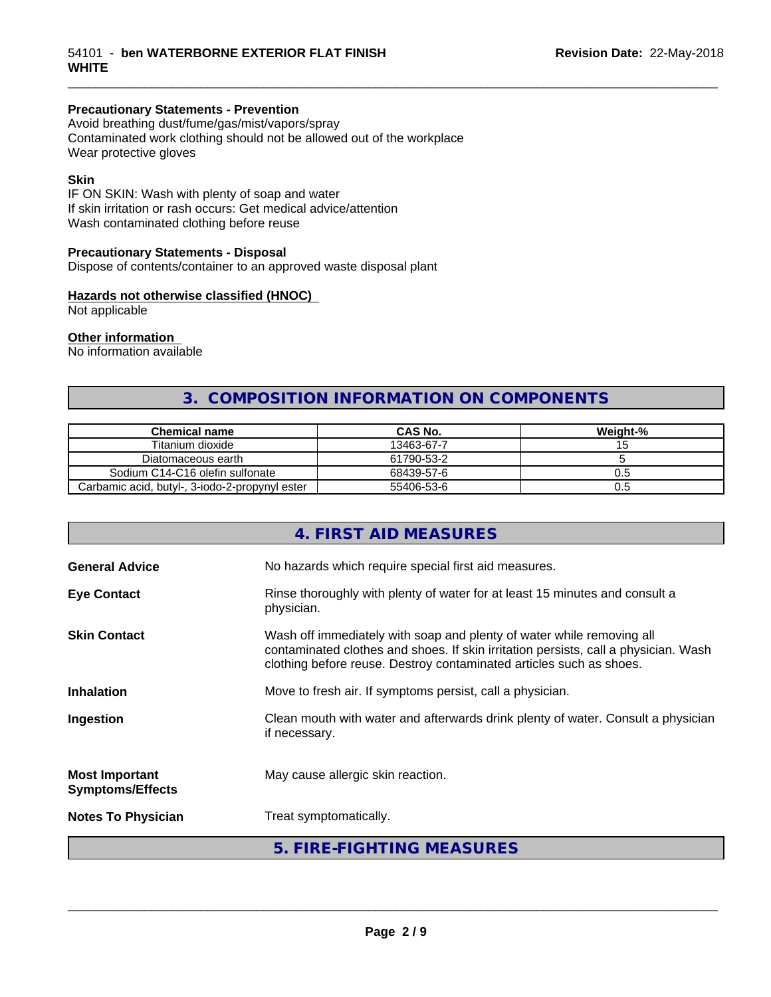# **Precautionary Statements - Prevention**

Avoid breathing dust/fume/gas/mist/vapors/spray Contaminated work clothing should not be allowed out of the workplace Wear protective gloves

# **Skin**

IF ON SKIN: Wash with plenty of soap and water If skin irritation or rash occurs: Get medical advice/attention Wash contaminated clothing before reuse

# **Precautionary Statements - Disposal**

Dispose of contents/container to an approved waste disposal plant

# **Hazards not otherwise classified (HNOC)**

Not applicable

# **Other information**

No information available

# **3. COMPOSITION INFORMATION ON COMPONENTS**

\_\_\_\_\_\_\_\_\_\_\_\_\_\_\_\_\_\_\_\_\_\_\_\_\_\_\_\_\_\_\_\_\_\_\_\_\_\_\_\_\_\_\_\_\_\_\_\_\_\_\_\_\_\_\_\_\_\_\_\_\_\_\_\_\_\_\_\_\_\_\_\_\_\_\_\_\_\_\_\_\_\_\_\_\_\_\_\_\_\_\_\_\_

| <b>Chemical name</b>                           | <b>CAS No.</b> | Weight-% |
|------------------------------------------------|----------------|----------|
| Titanium dioxide                               | 13463-67-7     |          |
| Diatomaceous earth                             | 61790-53-2     |          |
| Sodium C14-C16 olefin sulfonate                | 68439-57-6     | U.5      |
| Carbamic acid, butyl-, 3-iodo-2-propynyl ester | 55406-53-6     | U.5      |

|                                                  | 4. FIRST AID MEASURES                                                                                                                                                                                                               |
|--------------------------------------------------|-------------------------------------------------------------------------------------------------------------------------------------------------------------------------------------------------------------------------------------|
| <b>General Advice</b>                            | No hazards which require special first aid measures.                                                                                                                                                                                |
| <b>Eye Contact</b>                               | Rinse thoroughly with plenty of water for at least 15 minutes and consult a<br>physician.                                                                                                                                           |
| <b>Skin Contact</b>                              | Wash off immediately with soap and plenty of water while removing all<br>contaminated clothes and shoes. If skin irritation persists, call a physician. Wash<br>clothing before reuse. Destroy contaminated articles such as shoes. |
| <b>Inhalation</b>                                | Move to fresh air. If symptoms persist, call a physician.                                                                                                                                                                           |
| Ingestion                                        | Clean mouth with water and afterwards drink plenty of water. Consult a physician<br>if necessary.                                                                                                                                   |
| <b>Most Important</b><br><b>Symptoms/Effects</b> | May cause allergic skin reaction.                                                                                                                                                                                                   |
| <b>Notes To Physician</b>                        | Treat symptomatically.                                                                                                                                                                                                              |
|                                                  | 5. FIRE-FIGHTING MEASURES                                                                                                                                                                                                           |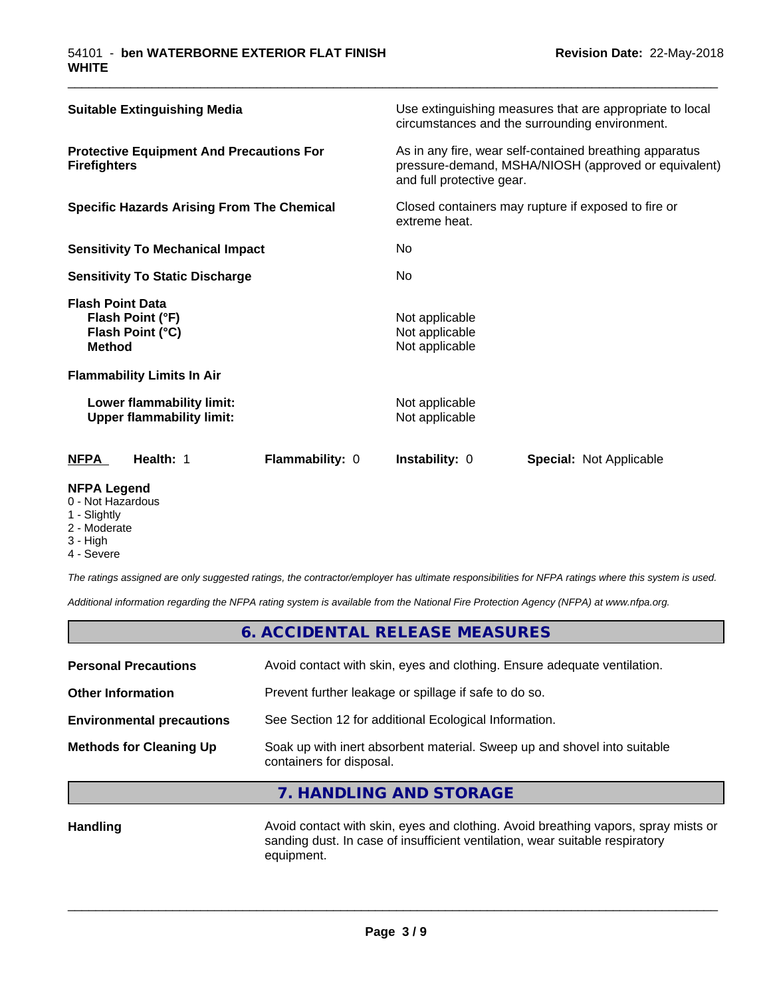| Health: 1<br><b>Flammability: 0</b><br>NFPA                                      | <b>Instability: 0</b><br><b>Special: Not Applicable</b>                                                                                      |  |
|----------------------------------------------------------------------------------|----------------------------------------------------------------------------------------------------------------------------------------------|--|
| Lower flammability limit:<br><b>Upper flammability limit:</b>                    | Not applicable<br>Not applicable                                                                                                             |  |
| <b>Flammability Limits In Air</b>                                                |                                                                                                                                              |  |
| <b>Flash Point Data</b><br>Flash Point (°F)<br>Flash Point (°C)<br><b>Method</b> | Not applicable<br>Not applicable<br>Not applicable                                                                                           |  |
| <b>Sensitivity To Static Discharge</b>                                           | No.                                                                                                                                          |  |
| <b>Sensitivity To Mechanical Impact</b>                                          | No.                                                                                                                                          |  |
| <b>Specific Hazards Arising From The Chemical</b>                                | Closed containers may rupture if exposed to fire or<br>extreme heat.                                                                         |  |
| <b>Protective Equipment And Precautions For</b><br><b>Firefighters</b>           | As in any fire, wear self-contained breathing apparatus<br>pressure-demand, MSHA/NIOSH (approved or equivalent)<br>and full protective gear. |  |
| <b>Suitable Extinguishing Media</b>                                              | Use extinguishing measures that are appropriate to local<br>circumstances and the surrounding environment.                                   |  |

\_\_\_\_\_\_\_\_\_\_\_\_\_\_\_\_\_\_\_\_\_\_\_\_\_\_\_\_\_\_\_\_\_\_\_\_\_\_\_\_\_\_\_\_\_\_\_\_\_\_\_\_\_\_\_\_\_\_\_\_\_\_\_\_\_\_\_\_\_\_\_\_\_\_\_\_\_\_\_\_\_\_\_\_\_\_\_\_\_\_\_\_\_

# **NFPA Legend**

- 0 Not Hazardous
- 1 Slightly
- 2 Moderate
- 3 High
- 4 Severe

*The ratings assigned are only suggested ratings, the contractor/employer has ultimate responsibilities for NFPA ratings where this system is used.*

*Additional information regarding the NFPA rating system is available from the National Fire Protection Agency (NFPA) at www.nfpa.org.*

# **6. ACCIDENTAL RELEASE MEASURES**

| <b>Personal Precautions</b>      | Avoid contact with skin, eyes and clothing. Ensure adequate ventilation.                             |
|----------------------------------|------------------------------------------------------------------------------------------------------|
| <b>Other Information</b>         | Prevent further leakage or spillage if safe to do so.                                                |
| <b>Environmental precautions</b> | See Section 12 for additional Ecological Information.                                                |
| <b>Methods for Cleaning Up</b>   | Soak up with inert absorbent material. Sweep up and shovel into suitable<br>containers for disposal. |
|                                  |                                                                                                      |

# **7. HANDLING AND STORAGE**

Handling **Handling** Avoid contact with skin, eyes and clothing. Avoid breathing vapors, spray mists or sanding dust. In case of insufficient ventilation, wear suitable respiratory equipment.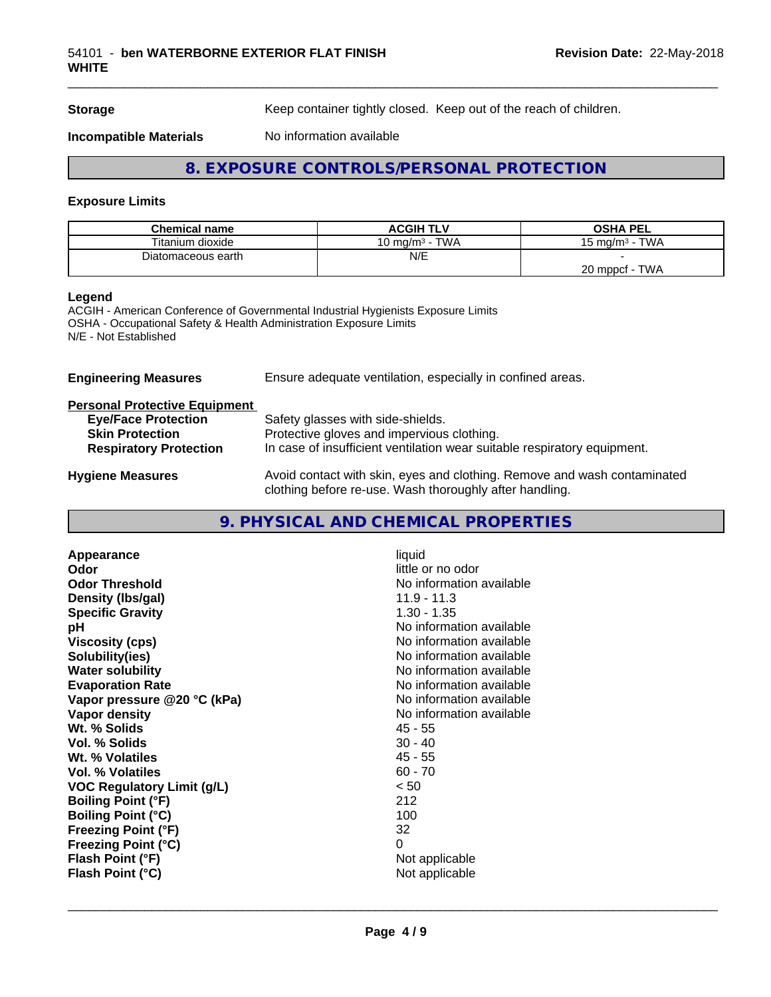**Storage** Keep container tightly closed. Keep out of the reach of children.

\_\_\_\_\_\_\_\_\_\_\_\_\_\_\_\_\_\_\_\_\_\_\_\_\_\_\_\_\_\_\_\_\_\_\_\_\_\_\_\_\_\_\_\_\_\_\_\_\_\_\_\_\_\_\_\_\_\_\_\_\_\_\_\_\_\_\_\_\_\_\_\_\_\_\_\_\_\_\_\_\_\_\_\_\_\_\_\_\_\_\_\_\_

**Incompatible Materials** No information available

# **8. EXPOSURE CONTROLS/PERSONAL PROTECTION**

# **Exposure Limits**

| <b>Chemical name</b> | <b>ACGIH TLV</b>      | <b>OSHA PEL</b>                            |
|----------------------|-----------------------|--------------------------------------------|
| Titanium dioxide     | TWA<br>10 mg/m $^3$ - | <b>TWA</b><br>15 ma/m <sup>3</sup> $\cdot$ |
| Diatomaceous earth   | N/E                   |                                            |
|                      |                       | <b>TWA</b><br>20 mppcf                     |

#### **Legend**

ACGIH - American Conference of Governmental Industrial Hygienists Exposure Limits OSHA - Occupational Safety & Health Administration Exposure Limits N/E - Not Established

**Engineering Measures** Ensure adequate ventilation, especially in confined areas.

# **Personal Protective Equipment**

| <b>Eye/Face Protection</b>    | Safety glasses with side-shields.                                        |
|-------------------------------|--------------------------------------------------------------------------|
| <b>Skin Protection</b>        | Protective gloves and impervious clothing.                               |
| <b>Respiratory Protection</b> | In case of insufficient ventilation wear suitable respiratory equipment. |
| <b>Hygiene Measures</b>       | Avoid contact with skin, eyes and clothing. Remove and wash contaminated |

clothing before re-use. Wash thoroughly after handling.

# **9. PHYSICAL AND CHEMICAL PROPERTIES**

| Appearance                  | liquid                   |
|-----------------------------|--------------------------|
| Odor                        | little or no odor        |
| <b>Odor Threshold</b>       | No information available |
| Density (Ibs/gal)           | $11.9 - 11.3$            |
| <b>Specific Gravity</b>     | $1.30 - 1.35$            |
| рH                          | No information available |
| <b>Viscosity (cps)</b>      | No information available |
| Solubility(ies)             | No information available |
| <b>Water solubility</b>     | No information available |
| <b>Evaporation Rate</b>     | No information available |
| Vapor pressure @20 °C (kPa) | No information available |
| Vapor density               | No information available |
| Wt. % Solids                | 45 - 55                  |
| Vol. % Solids               | $30 - 40$                |
| Wt. % Volatiles             | $45 - 55$                |
| <b>Vol. % Volatiles</b>     | $60 - 70$                |
| VOC Regulatory Limit (g/L)  | < 50                     |
| <b>Boiling Point (°F)</b>   | 212                      |
| <b>Boiling Point (°C)</b>   | 100                      |
| <b>Freezing Point (°F)</b>  | 32                       |
| <b>Freezing Point (°C)</b>  | 0                        |
| Flash Point (°F)            | Not applicable           |
| Flash Point (°C)            | Not applicable           |
|                             |                          |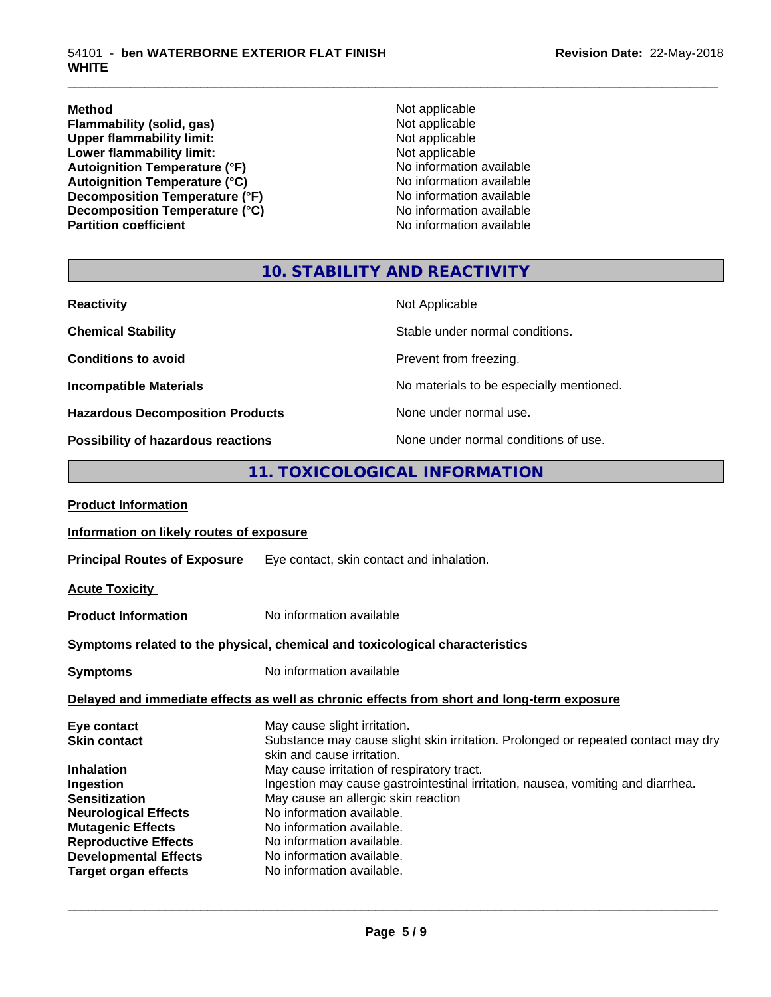**Method** Not applicable **Flammability (solid, gas)** Not applicable<br>
Upper flammability limit:<br>
Not applicable<br>
Not applicable Upper flammability limit:<br>
Lower flammability limit:<br>
Not applicable<br>
Not applicable **Lower flammability limit:**<br> **Autoignition Temperature (°F)**<br>
Mo information available Autoignition Temperature (°F)<br>
Autoignition Temperature (°C)<br>
No information available Autoignition Temperature (°C)<br>
Decomposition Temperature (°F)<br>
No information available **Decomposition Temperature (°F)**<br> **Decomposition Temperature (°C)** No information available<br>
No information available **Decomposition Temperature (°C)**<br>Partition coefficient

**No information available** 

\_\_\_\_\_\_\_\_\_\_\_\_\_\_\_\_\_\_\_\_\_\_\_\_\_\_\_\_\_\_\_\_\_\_\_\_\_\_\_\_\_\_\_\_\_\_\_\_\_\_\_\_\_\_\_\_\_\_\_\_\_\_\_\_\_\_\_\_\_\_\_\_\_\_\_\_\_\_\_\_\_\_\_\_\_\_\_\_\_\_\_\_\_

# **10. STABILITY AND REACTIVITY**

| <b>Reactivity</b>                         | Not Applicable                           |
|-------------------------------------------|------------------------------------------|
| <b>Chemical Stability</b>                 | Stable under normal conditions.          |
| <b>Conditions to avoid</b>                | Prevent from freezing.                   |
| <b>Incompatible Materials</b>             | No materials to be especially mentioned. |
| <b>Hazardous Decomposition Products</b>   | None under normal use.                   |
| <b>Possibility of hazardous reactions</b> | None under normal conditions of use.     |

# **11. TOXICOLOGICAL INFORMATION**

| Information on likely routes of exposure                                                                                                                                                                                                                                                                              |
|-----------------------------------------------------------------------------------------------------------------------------------------------------------------------------------------------------------------------------------------------------------------------------------------------------------------------|
| Eye contact, skin contact and inhalation.                                                                                                                                                                                                                                                                             |
|                                                                                                                                                                                                                                                                                                                       |
| No information available                                                                                                                                                                                                                                                                                              |
| Symptoms related to the physical, chemical and toxicological characteristics                                                                                                                                                                                                                                          |
| No information available                                                                                                                                                                                                                                                                                              |
| Delayed and immediate effects as well as chronic effects from short and long-term exposure                                                                                                                                                                                                                            |
| May cause slight irritation.<br>Substance may cause slight skin irritation. Prolonged or repeated contact may dry<br>skin and cause irritation.                                                                                                                                                                       |
| May cause irritation of respiratory tract.<br>Ingestion may cause gastrointestinal irritation, nausea, vomiting and diarrhea.<br>May cause an allergic skin reaction<br>No information available.<br>No information available.<br>No information available.<br>No information available.<br>No information available. |
|                                                                                                                                                                                                                                                                                                                       |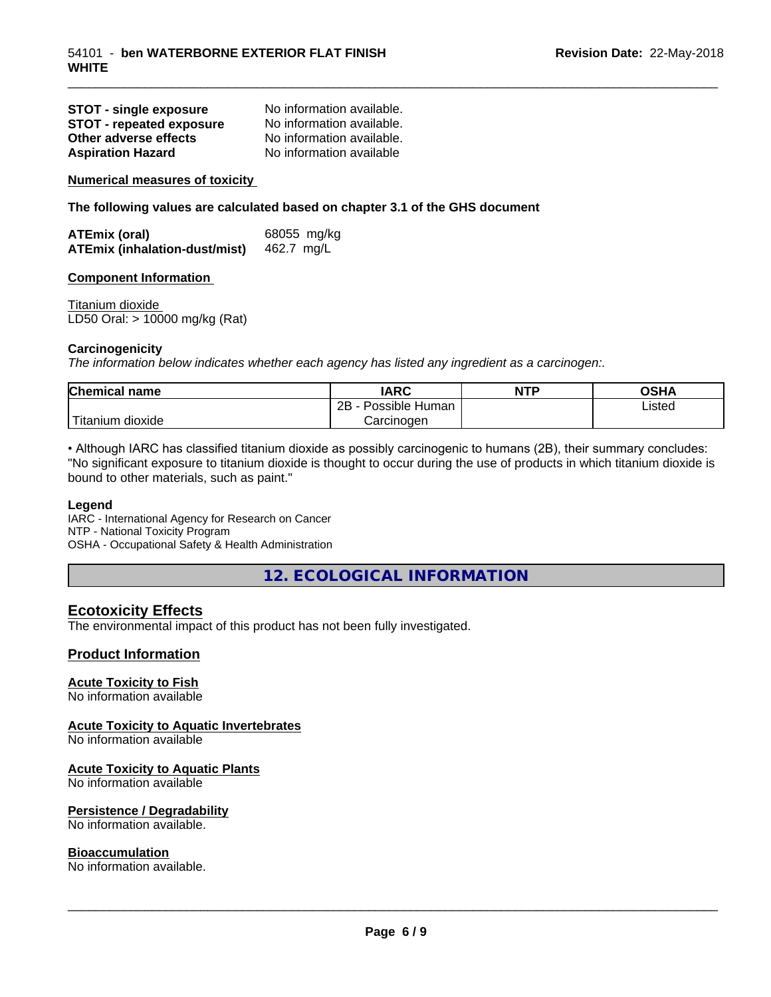| <b>STOT - single exposure</b> | No information available. |
|-------------------------------|---------------------------|
| STOT - repeated exposure      | No information available. |
| Other adverse effects         | No information available. |
| <b>Aspiration Hazard</b>      | No information available  |

**Numerical measures of toxicity**

**The following values are calculated based on chapter 3.1 of the GHS document**

| ATEmix (oral)                        | 68055 mg/kg |
|--------------------------------------|-------------|
| <b>ATEmix (inhalation-dust/mist)</b> | 462.7 mg/L  |

#### **Component Information**

Titanium dioxide LD50 Oral: > 10000 mg/kg (Rat)

#### **Carcinogenicity**

*The information below indicateswhether each agency has listed any ingredient as a carcinogen:.*

| Chemical<br>name                 | <b>IARC</b>                       | NTP | <b>OCU</b><br>שט |
|----------------------------------|-----------------------------------|-----|------------------|
|                                  | .<br>2R<br>Human<br>Possible<br>້ |     | ∟isted           |
| .<br>. dioxide<br><b>itanium</b> | Carcinoɑen                        |     |                  |

\_\_\_\_\_\_\_\_\_\_\_\_\_\_\_\_\_\_\_\_\_\_\_\_\_\_\_\_\_\_\_\_\_\_\_\_\_\_\_\_\_\_\_\_\_\_\_\_\_\_\_\_\_\_\_\_\_\_\_\_\_\_\_\_\_\_\_\_\_\_\_\_\_\_\_\_\_\_\_\_\_\_\_\_\_\_\_\_\_\_\_\_\_

• Although IARC has classified titanium dioxide as possibly carcinogenic to humans (2B), their summary concludes: "No significant exposure to titanium dioxide is thought to occur during the use of products in which titanium dioxide is bound to other materials, such as paint."

#### **Legend**

IARC - International Agency for Research on Cancer NTP - National Toxicity Program OSHA - Occupational Safety & Health Administration

**12. ECOLOGICAL INFORMATION**

# **Ecotoxicity Effects**

The environmental impact of this product has not been fully investigated.

# **Product Information**

# **Acute Toxicity to Fish**

No information available

# **Acute Toxicity to Aquatic Invertebrates**

No information available

# **Acute Toxicity to Aquatic Plants**

No information available

# **Persistence / Degradability**

No information available.

#### **Bioaccumulation**

No information available.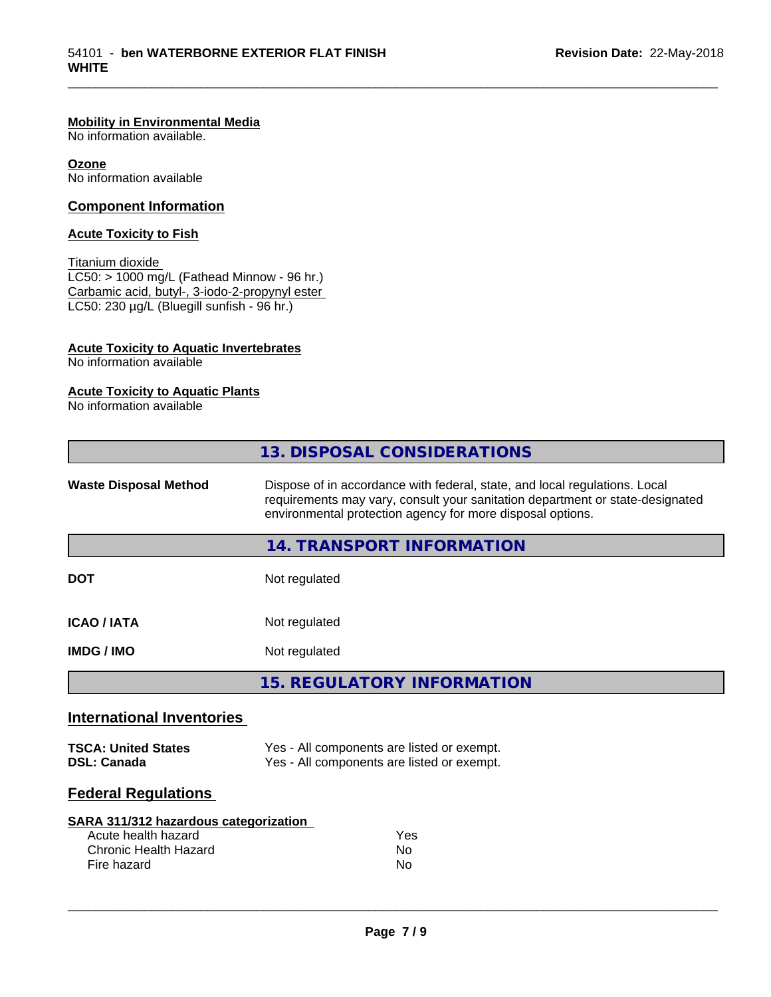# **Mobility in Environmental Media**

No information available.

**Ozone** No information available

# **Component Information**

# **Acute Toxicity to Fish**

Titanium dioxide  $LC50: > 1000$  mg/L (Fathead Minnow - 96 hr.) Carbamic acid, butyl-, 3-iodo-2-propynyl ester LC50: 230 µg/L (Bluegill sunfish - 96 hr.)

# **Acute Toxicity to Aquatic Invertebrates**

No information available

# **Acute Toxicity to Aquatic Plants**

No information available

|                                  | 13. DISPOSAL CONSIDERATIONS                                                                                                                                                                                               |
|----------------------------------|---------------------------------------------------------------------------------------------------------------------------------------------------------------------------------------------------------------------------|
| <b>Waste Disposal Method</b>     | Dispose of in accordance with federal, state, and local regulations. Local<br>requirements may vary, consult your sanitation department or state-designated<br>environmental protection agency for more disposal options. |
|                                  | 14. TRANSPORT INFORMATION                                                                                                                                                                                                 |
| <b>DOT</b>                       | Not regulated                                                                                                                                                                                                             |
| <b>ICAO / IATA</b>               | Not regulated                                                                                                                                                                                                             |
| <b>IMDG/IMO</b>                  | Not regulated                                                                                                                                                                                                             |
|                                  | <b>15. REGULATORY INFORMATION</b>                                                                                                                                                                                         |
| <b>International Inventories</b> |                                                                                                                                                                                                                           |

\_\_\_\_\_\_\_\_\_\_\_\_\_\_\_\_\_\_\_\_\_\_\_\_\_\_\_\_\_\_\_\_\_\_\_\_\_\_\_\_\_\_\_\_\_\_\_\_\_\_\_\_\_\_\_\_\_\_\_\_\_\_\_\_\_\_\_\_\_\_\_\_\_\_\_\_\_\_\_\_\_\_\_\_\_\_\_\_\_\_\_\_\_

| <b>TSCA: United States</b> | Yes - All components are listed or exempt. |
|----------------------------|--------------------------------------------|
| <b>DSL: Canada</b>         | Yes - All components are listed or exempt. |

# **Federal Regulations**

| SARA 311/312 hazardous categorization |     |
|---------------------------------------|-----|
| Acute health hazard                   | Yes |
| Chronic Health Hazard                 | Nο  |
| Fire hazard                           | Nο  |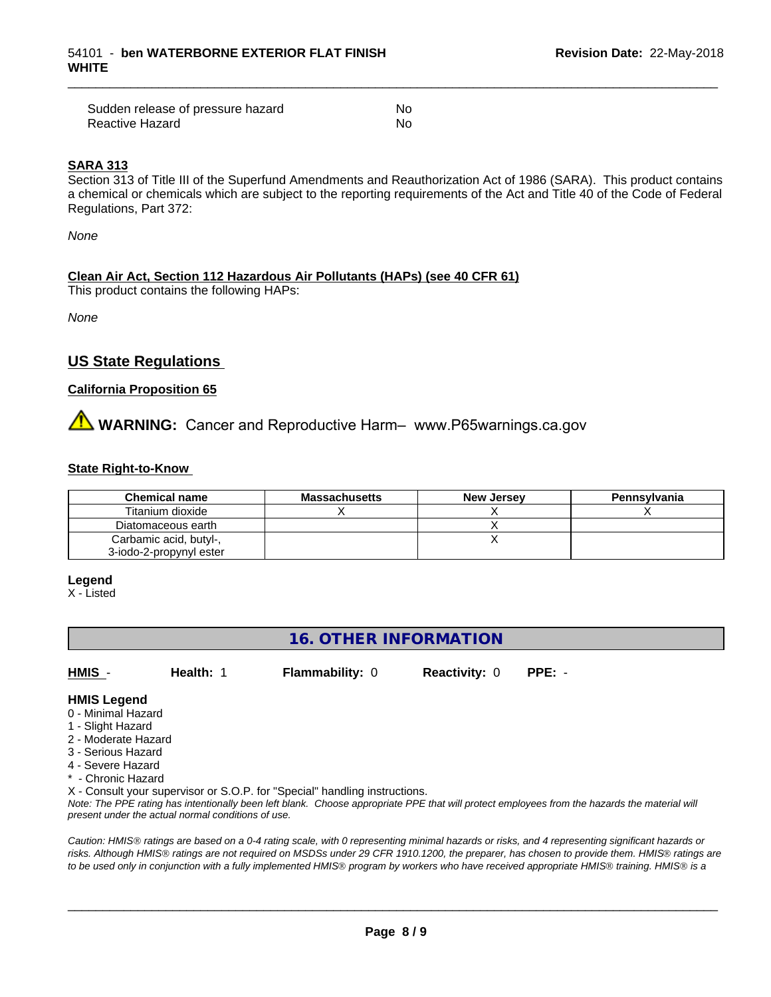| Sudden release of pressure hazard | No  |
|-----------------------------------|-----|
| Reactive Hazard                   | .No |

### **SARA 313**

Section 313 of Title III of the Superfund Amendments and Reauthorization Act of 1986 (SARA). This product contains a chemical or chemicals which are subject to the reporting requirements of the Act and Title 40 of the Code of Federal Regulations, Part 372:

\_\_\_\_\_\_\_\_\_\_\_\_\_\_\_\_\_\_\_\_\_\_\_\_\_\_\_\_\_\_\_\_\_\_\_\_\_\_\_\_\_\_\_\_\_\_\_\_\_\_\_\_\_\_\_\_\_\_\_\_\_\_\_\_\_\_\_\_\_\_\_\_\_\_\_\_\_\_\_\_\_\_\_\_\_\_\_\_\_\_\_\_\_

*None*

# **Clean Air Act,Section 112 Hazardous Air Pollutants (HAPs) (see 40 CFR 61)**

This product contains the following HAPs:

*None*

# **US State Regulations**

# **California Proposition 65**

# **AN** WARNING: Cancer and Reproductive Harm– www.P65warnings.ca.gov

#### **State Right-to-Know**

| <b>Chemical name</b>    | <b>Massachusetts</b> | <b>New Jersey</b> | Pennsylvania |
|-------------------------|----------------------|-------------------|--------------|
| Titanium dioxide        |                      |                   |              |
| Diatomaceous earth      |                      |                   |              |
| Carbamic acid, butyl-,  |                      |                   |              |
| 3-iodo-2-propynyl ester |                      |                   |              |

#### **Legend**

X - Listed

# **16. OTHER INFORMATION**

**HMIS** - **Health:** 1 **Flammability:** 0 **Reactivity:** 0 **PPE:** -

# **HMIS Legend**

- 0 Minimal Hazard
- 1 Slight Hazard
- 2 Moderate Hazard
- 3 Serious Hazard
- 4 Severe Hazard
- Chronic Hazard

X - Consult your supervisor or S.O.P. for "Special" handling instructions.

*Note: The PPE rating has intentionally been left blank. Choose appropriate PPE that will protect employees from the hazards the material will present under the actual normal conditions of use.*

*Caution: HMISÒ ratings are based on a 0-4 rating scale, with 0 representing minimal hazards or risks, and 4 representing significant hazards or risks. Although HMISÒ ratings are not required on MSDSs under 29 CFR 1910.1200, the preparer, has chosen to provide them. HMISÒ ratings are to be used only in conjunction with a fully implemented HMISÒ program by workers who have received appropriate HMISÒ training. HMISÒ is a*